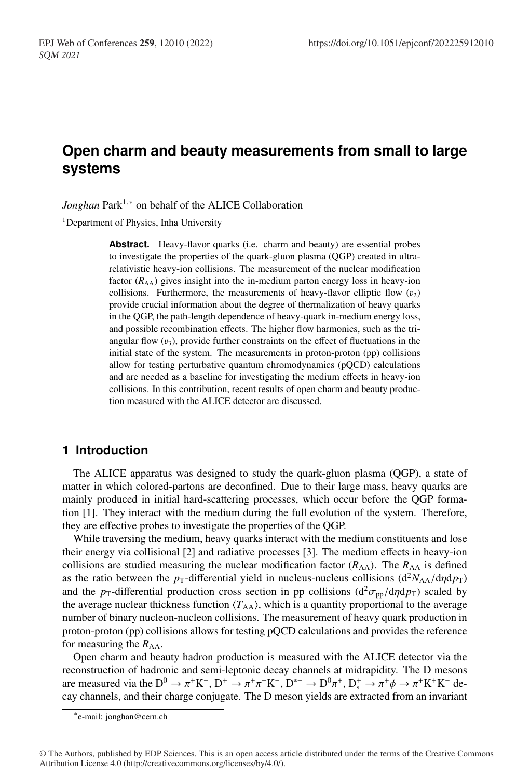# **Open charm and beauty measurements from small to large systems**

*Jonghan* Park<sup>1,∗</sup> on behalf of the ALICE Collaboration

<sup>1</sup>Department of Physics, Inha University

Abstract. Heavy-flavor quarks (i.e. charm and beauty) are essential probes to investigate the properties of the quark-gluon plasma (QGP) created in ultrarelativistic heavy-ion collisions. The measurement of the nuclear modification factor  $(R_{AA})$  gives insight into the in-medium parton energy loss in heavy-ion collisions. Furthermore, the measurements of heavy-flavor elliptic flow  $(v_2)$ provide crucial information about the degree of thermalization of heavy quarks in the QGP, the path-length dependence of heavy-quark in-medium energy loss, and possible recombination effects. The higher flow harmonics, such as the triangular flow  $(v_3)$ , provide further constraints on the effect of fluctuations in the initial state of the system. The measurements in proton-proton (pp) collisions allow for testing perturbative quantum chromodynamics (pQCD) calculations and are needed as a baseline for investigating the medium effects in heavy-ion collisions. In this contribution, recent results of open charm and beauty production measured with the ALICE detector are discussed.

#### **1 Introduction**

The ALICE apparatus was designed to study the quark-gluon plasma (QGP), a state of matter in which colored-partons are deconfined. Due to their large mass, heavy quarks are mainly produced in initial hard-scattering processes, which occur before the QGP formation [1]. They interact with the medium during the full evolution of the system. Therefore, they are effective probes to investigate the properties of the QGP.

While traversing the medium, heavy quarks interact with the medium constituents and lose their energy via collisional [2] and radiative processes [3]. The medium effects in heavy-ion collisions are studied measuring the nuclear modification factor  $(R_{AA})$ . The  $R_{AA}$  is defined as the ratio between the *p*<sub>T</sub>-differential yield in nucleus-nucleus collisions ( $d^2N_{AA}/d\eta dp_T$ ) and the  $p_T$ -differential production cross section in pp collisions ( $d^2 \sigma_{pp}/d\eta dp_T$ ) scaled by the average nuclear thickness function  $\langle T_{AA} \rangle$ , which is a quantity proportional to the average number of binary nucleon-nucleon collisions. The measurement of heavy quark production in proton-proton (pp) collisions allows for testing pQCD calculations and provides the reference for measuring the  $R_{AA}$ .

Open charm and beauty hadron production is measured with the ALICE detector via the reconstruction of hadronic and semi-leptonic decay channels at midrapidity. The D mesons are measured via the  $D^0 \to \pi^+ K^-$ ,  $D^+ \to \pi^+ \pi^+ K^-$ ,  $D^{*+} \to D^0 \pi^+$ ,  $D_s^+ \to \pi^+ \phi \to \pi^+ K^+ K^-$  decay channels, and their charge conjugate. The D meson yields are extracted from an invariant

<sup>∗</sup>e-mail: jonghan@cern.ch

<sup>©</sup> The Authors, published by EDP Sciences. This is an open access article distributed under the terms of the Creative Commons Attribution License 4.0 (http://creativecommons.org/licenses/by/4.0/).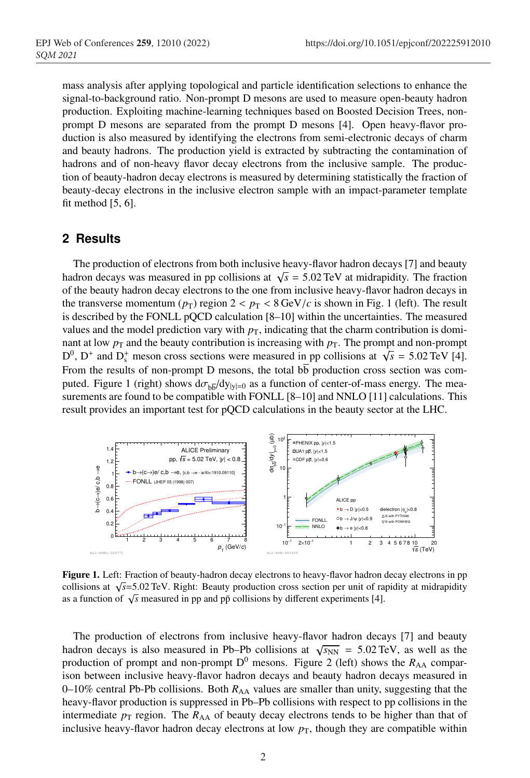mass analysis after applying topological and particle identification selections to enhance the signal-to-background ratio. Non-prompt D mesons are used to measure open-beauty hadron production. Exploiting machine-learning techniques based on Boosted Decision Trees, nonprompt D mesons are separated from the prompt D mesons [4]. Open heavy-flavor production is also measured by identifying the electrons from semi-electronic decays of charm and beauty hadrons. The production yield is extracted by subtracting the contamination of hadrons and of non-heavy flavor decay electrons from the inclusive sample. The production of beauty-hadron decay electrons is measured by determining statistically the fraction of beauty-decay electrons in the inclusive electron sample with an impact-parameter template fit method [5, 6].

## **2 Results**

The production of electrons from both inclusive heavy-flavor hadron decays [7] and beauty hadron decays was measured in pp collisions at  $\sqrt{s}$  = 5.02 TeV at midrapidity. The fraction of the beauty hadron decay electrons to the one from inclusive heavy-flavor hadron decays in the transverse momentum ( $p_T$ ) region  $2 < p_T < 8 \text{ GeV}/c$  is shown in Fig. 1 (left). The result is described by the FONLL pQCD calculation [8–10] within the uncertainties. The measured values and the model prediction vary with  $p<sub>T</sub>$ , indicating that the charm contribution is dominant at low  $p<sub>T</sub>$  and the beauty contribution is increasing with  $p<sub>T</sub>$ . The prompt and non-prompt  $D^0$ ,  $D^+$  and  $D_s^+$  meson cross sections were measured in pp collisions at  $\sqrt{s} = 5.02$  TeV [4]. From the results of non-prompt D mesons, the total  $b\overline{b}$  production cross section was computed. Figure 1 (right) shows  $d\sigma_{b\bar{b}}/dy_{|y|=0}$  as a function of center-of-mass energy. The measurements are found to be compatible with FONLL [8–10] and NNLO [11] calculations. This result provides an important test for pQCD calculations in the beauty sector at the LHC.



Figure 1. Left: Fraction of beauty-hadron decay electrons to heavy-flavor hadron decay electrons in pp collisions at  $\sqrt{s}$ =5.02 TeV. Right: Beauty production cross section per unit of rapidity at midrapidity as a function of  $\sqrt{s}$  measured in pp and pp collisions by different experiments [4].

The production of electrons from inclusive heavy-flavor hadron decays [7] and beauty hadron decays is also measured in Pb–Pb collisions at  $\sqrt{s_{NN}}$  = 5.02 TeV, as well as the production of prompt and non-prompt  $D^0$  mesons. Figure 2 (left) shows the  $R_{AA}$  comparison between inclusive heavy-flavor hadron decays and beauty hadron decays measured in 0–10% central Pb-Pb collisions. Both  $R_{AA}$  values are smaller than unity, suggesting that the heavy-flavor production is suppressed in Pb–Pb collisions with respect to pp collisions in the intermediate  $p_T$  region. The  $R_{AA}$  of beauty decay electrons tends to be higher than that of inclusive heavy-flavor hadron decay electrons at low  $p<sub>T</sub>$ , though they are compatible within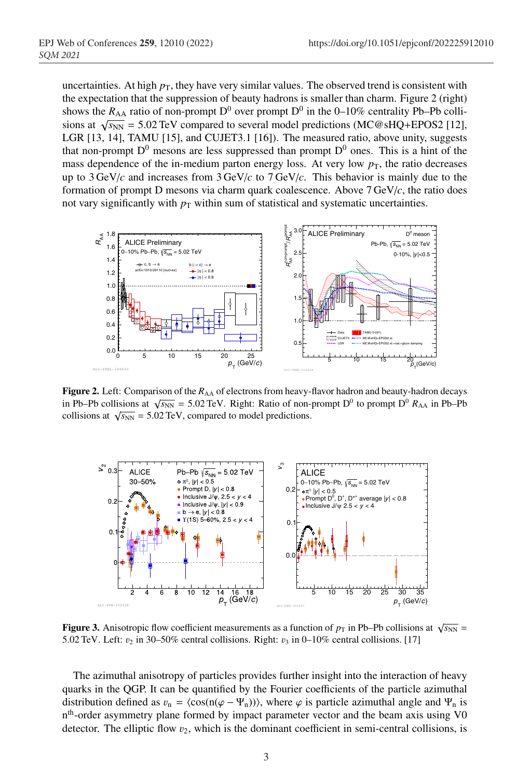uncertainties. At high  $p<sub>T</sub>$ , they have very similar values. The observed trend is consistent with the expectation that the suppression of beauty hadrons is smaller than charm. Figure 2 (right) shows the  $R_{AA}$  ratio of non-prompt D<sup>0</sup> over prompt D<sup>0</sup> in the 0–10% centrality Pb–Pb collisions at  $\sqrt{s_{NN}}$  = 5.02 TeV compared to several model predictions (MC@sHQ+EPOS2 [12], LGR [13, 14], TAMU [15], and CUJET3.1 [16]). The measured ratio, above unity, suggests that non-prompt  $D^0$  mesons are less suppressed than prompt  $D^0$  ones. This is a hint of the mass dependence of the in-medium parton energy loss. At very low  $p<sub>T</sub>$ , the ratio decreases up to 3 GeV/*c* and increases from 3 GeV/*c* to 7 GeV/*c*. This behavior is mainly due to the formation of prompt D mesons via charm quark coalescence. Above 7 GeV/*c*, the ratio does not vary significantly with  $p<sub>T</sub>$  within sum of statistical and systematic uncertainties.



Figure 2. Left: Comparison of the  $R_{AA}$  of electrons from heavy-flavor hadron and beauty-hadron decays in Pb–Pb collisions at  $\sqrt{s_{NN}}$  = 5.02 TeV. Right: Ratio of non-prompt D<sup>0</sup> to prompt D<sup>0</sup>  $R_{AA}$  in Pb–Pb collisions at  $\sqrt{s_{NN}}$  = 5.02 TeV, compared to model predictions.



**Figure 3.** Anisotropic flow coefficient measurements as a function of  $p<sub>T</sub>$  in Pb–Pb collisions at  $\sqrt{s_{NN}}$  = 5.02 TeV. Left:  $v_2$  in 30–50% central collisions. Right:  $v_3$  in 0–10% central collisions. [17]

The azimuthal anisotropy of particles provides further insight into the interaction of heavy quarks in the QGP. It can be quantified by the Fourier coefficients of the particle azimuthal distribution defined as  $v_n = \langle \cos(n(\varphi - \Psi_n)) \rangle$ , where  $\varphi$  is particle azimuthal angle and  $\Psi_n$  is nth-order asymmetry plane formed by impact parameter vector and the beam axis using V0 detector. The elliptic flow  $v_2$ , which is the dominant coefficient in semi-central collisions, is